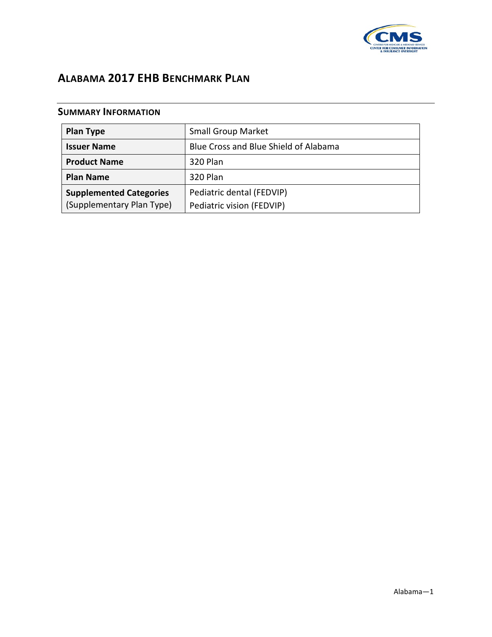

## **ALABAMA 2017 EHB BENCHMARK PLAN**

## **SUMMARY INFORMATION**

| <b>Plan Type</b>               | <b>Small Group Market</b>             |
|--------------------------------|---------------------------------------|
| <b>Issuer Name</b>             | Blue Cross and Blue Shield of Alabama |
| <b>Product Name</b>            | 320 Plan                              |
| <b>Plan Name</b>               | 320 Plan                              |
| <b>Supplemented Categories</b> | Pediatric dental (FEDVIP)             |
| (Supplementary Plan Type)      | Pediatric vision (FEDVIP)             |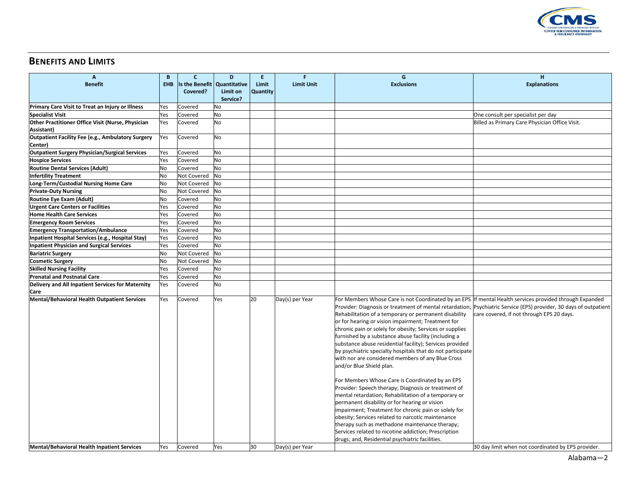

## **BENEFITS AND LIMITS**

| A                                                                   | B   | C.                            | D               | E.       | F                 | G                                                                                                                                                                                                                                                                                                                                                                                                                                                                                                                                                                                                                                                                                                                                                                                                                                                                                                                                                                                               | н                                                                                                                                                               |
|---------------------------------------------------------------------|-----|-------------------------------|-----------------|----------|-------------------|-------------------------------------------------------------------------------------------------------------------------------------------------------------------------------------------------------------------------------------------------------------------------------------------------------------------------------------------------------------------------------------------------------------------------------------------------------------------------------------------------------------------------------------------------------------------------------------------------------------------------------------------------------------------------------------------------------------------------------------------------------------------------------------------------------------------------------------------------------------------------------------------------------------------------------------------------------------------------------------------------|-----------------------------------------------------------------------------------------------------------------------------------------------------------------|
| <b>Benefit</b>                                                      | EHB | Is the Benefit   Quantitative |                 | Limit    | <b>Limit Unit</b> | <b>Exclusions</b>                                                                                                                                                                                                                                                                                                                                                                                                                                                                                                                                                                                                                                                                                                                                                                                                                                                                                                                                                                               | <b>Explanations</b>                                                                                                                                             |
|                                                                     |     | Covered?                      | <b>Limit on</b> | Quantity |                   |                                                                                                                                                                                                                                                                                                                                                                                                                                                                                                                                                                                                                                                                                                                                                                                                                                                                                                                                                                                                 |                                                                                                                                                                 |
|                                                                     |     |                               | Service?        |          |                   |                                                                                                                                                                                                                                                                                                                                                                                                                                                                                                                                                                                                                                                                                                                                                                                                                                                                                                                                                                                                 |                                                                                                                                                                 |
| Primary Care Visit to Treat an Injury or Illness                    | Yes | Covered                       | No              |          |                   |                                                                                                                                                                                                                                                                                                                                                                                                                                                                                                                                                                                                                                                                                                                                                                                                                                                                                                                                                                                                 |                                                                                                                                                                 |
| <b>Specialist Visit</b>                                             | Yes | Covered                       | No              |          |                   |                                                                                                                                                                                                                                                                                                                                                                                                                                                                                                                                                                                                                                                                                                                                                                                                                                                                                                                                                                                                 | One consult per specialist per day                                                                                                                              |
| Other Practitioner Office Visit (Nurse, Physician                   | Yes | Covered                       | No              |          |                   |                                                                                                                                                                                                                                                                                                                                                                                                                                                                                                                                                                                                                                                                                                                                                                                                                                                                                                                                                                                                 | Billed as Primary Care Physician Office Visit.                                                                                                                  |
| Assistant)                                                          |     |                               |                 |          |                   |                                                                                                                                                                                                                                                                                                                                                                                                                                                                                                                                                                                                                                                                                                                                                                                                                                                                                                                                                                                                 |                                                                                                                                                                 |
| <b>Outpatient Facility Fee (e.g., Ambulatory Surgery</b><br>Center) | Yes | Covered                       | No              |          |                   |                                                                                                                                                                                                                                                                                                                                                                                                                                                                                                                                                                                                                                                                                                                                                                                                                                                                                                                                                                                                 |                                                                                                                                                                 |
| <b>Outpatient Surgery Physician/Surgical Services</b>               | Yes | Covered                       | No              |          |                   |                                                                                                                                                                                                                                                                                                                                                                                                                                                                                                                                                                                                                                                                                                                                                                                                                                                                                                                                                                                                 |                                                                                                                                                                 |
| <b>Hospice Services</b>                                             | Yes | Covered                       | No              |          |                   |                                                                                                                                                                                                                                                                                                                                                                                                                                                                                                                                                                                                                                                                                                                                                                                                                                                                                                                                                                                                 |                                                                                                                                                                 |
| <b>Routine Dental Services (Adult)</b>                              | No  | Covered                       | No              |          |                   |                                                                                                                                                                                                                                                                                                                                                                                                                                                                                                                                                                                                                                                                                                                                                                                                                                                                                                                                                                                                 |                                                                                                                                                                 |
| <b>Infertility Treatment</b>                                        | No  | Not Covered                   | No              |          |                   |                                                                                                                                                                                                                                                                                                                                                                                                                                                                                                                                                                                                                                                                                                                                                                                                                                                                                                                                                                                                 |                                                                                                                                                                 |
| Long-Term/Custodial Nursing Home Care                               | No  | Not Covered                   | No              |          |                   |                                                                                                                                                                                                                                                                                                                                                                                                                                                                                                                                                                                                                                                                                                                                                                                                                                                                                                                                                                                                 |                                                                                                                                                                 |
| <b>Private-Duty Nursing</b>                                         | No  | Not Covered                   | No              |          |                   |                                                                                                                                                                                                                                                                                                                                                                                                                                                                                                                                                                                                                                                                                                                                                                                                                                                                                                                                                                                                 |                                                                                                                                                                 |
| Routine Eye Exam (Adult)                                            | No  | Covered                       | No              |          |                   |                                                                                                                                                                                                                                                                                                                                                                                                                                                                                                                                                                                                                                                                                                                                                                                                                                                                                                                                                                                                 |                                                                                                                                                                 |
| <b>Urgent Care Centers or Facilities</b>                            | Yes | Covered                       | <b>No</b>       |          |                   |                                                                                                                                                                                                                                                                                                                                                                                                                                                                                                                                                                                                                                                                                                                                                                                                                                                                                                                                                                                                 |                                                                                                                                                                 |
| <b>Home Health Care Services</b>                                    | Yes | Covered                       | No              |          |                   |                                                                                                                                                                                                                                                                                                                                                                                                                                                                                                                                                                                                                                                                                                                                                                                                                                                                                                                                                                                                 |                                                                                                                                                                 |
| <b>Emergency Room Services</b>                                      | Yes | Covered                       | No              |          |                   |                                                                                                                                                                                                                                                                                                                                                                                                                                                                                                                                                                                                                                                                                                                                                                                                                                                                                                                                                                                                 |                                                                                                                                                                 |
| <b>Emergency Transportation/Ambulance</b>                           | Yes | Covered                       | No              |          |                   |                                                                                                                                                                                                                                                                                                                                                                                                                                                                                                                                                                                                                                                                                                                                                                                                                                                                                                                                                                                                 |                                                                                                                                                                 |
| Inpatient Hospital Services (e.g., Hospital Stay)                   | Yes | Covered                       | No              |          |                   |                                                                                                                                                                                                                                                                                                                                                                                                                                                                                                                                                                                                                                                                                                                                                                                                                                                                                                                                                                                                 |                                                                                                                                                                 |
| <b>Inpatient Physician and Surgical Services</b>                    | Yes | Covered                       | No              |          |                   |                                                                                                                                                                                                                                                                                                                                                                                                                                                                                                                                                                                                                                                                                                                                                                                                                                                                                                                                                                                                 |                                                                                                                                                                 |
| <b>Bariatric Surgery</b>                                            | No  | Not Covered                   | No              |          |                   |                                                                                                                                                                                                                                                                                                                                                                                                                                                                                                                                                                                                                                                                                                                                                                                                                                                                                                                                                                                                 |                                                                                                                                                                 |
| <b>Cosmetic Surgery</b>                                             | No  | Not Covered                   | No              |          |                   |                                                                                                                                                                                                                                                                                                                                                                                                                                                                                                                                                                                                                                                                                                                                                                                                                                                                                                                                                                                                 |                                                                                                                                                                 |
| <b>Skilled Nursing Facility</b>                                     | Yes | Covered                       | No              |          |                   |                                                                                                                                                                                                                                                                                                                                                                                                                                                                                                                                                                                                                                                                                                                                                                                                                                                                                                                                                                                                 |                                                                                                                                                                 |
| <b>Prenatal and Postnatal Care</b>                                  | Yes | Covered                       | No              |          |                   |                                                                                                                                                                                                                                                                                                                                                                                                                                                                                                                                                                                                                                                                                                                                                                                                                                                                                                                                                                                                 |                                                                                                                                                                 |
| Delivery and All Inpatient Services for Maternity                   | Yes | Covered                       | No              |          |                   |                                                                                                                                                                                                                                                                                                                                                                                                                                                                                                                                                                                                                                                                                                                                                                                                                                                                                                                                                                                                 |                                                                                                                                                                 |
| Care                                                                |     |                               |                 |          |                   |                                                                                                                                                                                                                                                                                                                                                                                                                                                                                                                                                                                                                                                                                                                                                                                                                                                                                                                                                                                                 |                                                                                                                                                                 |
| <b>Mental/Behavioral Health Outpatient Services</b>                 | Yes | Covered                       | Yes             | 20       | Day(s) per Year   | For Members Whose Care is not Coordinated by an EPS If mental Health services provided through Expanded<br>Rehabilitation of a temporary or permanent disability<br>or for hearing or vision impairment; Treatment for<br>chronic pain or solely for obesity; Services or supplies<br>furnished by a substance abuse facility (including a<br>substance abuse residential facility); Services provided<br>by psychiatric specialty hospitals that do not participate<br>with nor are considered members of any Blue Cross<br>and/or Blue Shield plan.<br>For Members Whose Care is Coordinated by an EPS<br>Provider: Speech therapy; Diagnosis or treatment of<br>mental retardation; Rehabilitation of a temporary or<br>permanent disability or for hearing or vision<br>impairment; Treatment for chronic pain or solely for<br>obesity; Services related to narcotic maintenance<br>therapy such as methadone maintenance therapy;<br>Services related to nicotine addiction; Prescription | Provider: Diagnosis or treatment of mental retardation;  Psychiatric Service (EPS) provider, 30 days of outpatient<br>care covered, if not through EPS 20 days. |
| <b>Mental/Behavioral Health Inpatient Services</b>                  | Yes | Covered                       | Yes             | 30       | Day(s) per Year   | drugs; and, Residential psychiatric facilities.                                                                                                                                                                                                                                                                                                                                                                                                                                                                                                                                                                                                                                                                                                                                                                                                                                                                                                                                                 | 30 day limit when not coordinated by EPS provider.                                                                                                              |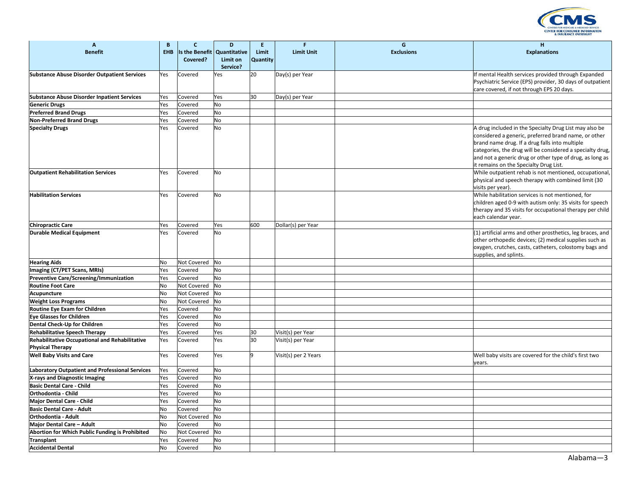

| $\mathbf{A}$                                                              | B          | $\mathbf{C}$               | D                                           | E.                | F                    | G                 | H                                                                                                                                                                                                                                                                         |
|---------------------------------------------------------------------------|------------|----------------------------|---------------------------------------------|-------------------|----------------------|-------------------|---------------------------------------------------------------------------------------------------------------------------------------------------------------------------------------------------------------------------------------------------------------------------|
| <b>Benefit</b>                                                            | <b>EHB</b> | Is the Benefit<br>Covered? | Quantitative<br><b>Limit on</b><br>Service? | Limit<br>Quantity | <b>Limit Unit</b>    | <b>Exclusions</b> | <b>Explanations</b>                                                                                                                                                                                                                                                       |
| <b>Substance Abuse Disorder Outpatient Services</b>                       | Yes        | Covered                    | Yes                                         | 20                | Day(s) per Year      |                   | If mental Health services provided through Expanded<br>Psychiatric Service (EPS) provider, 30 days of outpatient<br>care covered, if not through EPS 20 days.                                                                                                             |
| <b>Substance Abuse Disorder Inpatient Services</b>                        | Yes        | Covered                    | Yes                                         | 30                | Day(s) per Year      |                   |                                                                                                                                                                                                                                                                           |
| <b>Generic Drugs</b>                                                      | Yes        | Covered                    | No                                          |                   |                      |                   |                                                                                                                                                                                                                                                                           |
| <b>Preferred Brand Drugs</b>                                              | Yes        | Covered                    | <b>No</b>                                   |                   |                      |                   |                                                                                                                                                                                                                                                                           |
| <b>Non-Preferred Brand Drugs</b>                                          | Yes        | Covered                    | No                                          |                   |                      |                   |                                                                                                                                                                                                                                                                           |
| <b>Specialty Drugs</b>                                                    | Yes        | Covered                    | No                                          |                   |                      |                   | A drug included in the Specialty Drug List may also be                                                                                                                                                                                                                    |
|                                                                           |            |                            |                                             |                   |                      |                   | considered a generic, preferred brand name, or other<br>brand name drug. If a drug falls into multiple<br>categories, the drug will be considered a specialty drug,<br>and not a generic drug or other type of drug, as long as<br>it remains on the Specialty Drug List. |
| <b>Outpatient Rehabilitation Services</b>                                 | Yes        | Covered                    | No                                          |                   |                      |                   | While outpatient rehab is not mentioned, occupational,<br>physical and speech therapy with combined limit (30<br>visits per year).                                                                                                                                        |
| <b>Habilitation Services</b>                                              | Yes        | Covered                    | No                                          |                   |                      |                   | While habilitation services is not mentioned, for<br>children aged 0-9 with autism only: 35 visits for speech<br>therapy and 35 visits for occupational therapy per child<br>each calendar year.                                                                          |
| <b>Chiropractic Care</b>                                                  | Yes        | Covered                    | Yes                                         | 600               | Dollar(s) per Year   |                   |                                                                                                                                                                                                                                                                           |
| <b>Durable Medical Equipment</b>                                          | Yes        | Covered                    | No                                          |                   |                      |                   | (1) artificial arms and other prosthetics, leg braces, and<br>other orthopedic devices; (2) medical supplies such as<br>oxygen, crutches, casts, catheters, colostomy bags and<br>supplies, and splints.                                                                  |
| <b>Hearing Aids</b>                                                       | No         | Not Covered                | No                                          |                   |                      |                   |                                                                                                                                                                                                                                                                           |
| Imaging (CT/PET Scans, MRIs)                                              | Yes        | Covered                    | No                                          |                   |                      |                   |                                                                                                                                                                                                                                                                           |
| Preventive Care/Screening/Immunization                                    | Yes        | Covered                    | No                                          |                   |                      |                   |                                                                                                                                                                                                                                                                           |
| <b>Routine Foot Care</b>                                                  | No         | Not Covered                | No                                          |                   |                      |                   |                                                                                                                                                                                                                                                                           |
| Acupuncture                                                               | No         | Not Covered                | No                                          |                   |                      |                   |                                                                                                                                                                                                                                                                           |
| <b>Weight Loss Programs</b>                                               | No         | Not Covered                | No                                          |                   |                      |                   |                                                                                                                                                                                                                                                                           |
| Routine Eye Exam for Children                                             | Yes        | Covered                    | No                                          |                   |                      |                   |                                                                                                                                                                                                                                                                           |
| <b>Eye Glasses for Children</b>                                           | Yes        | Covered                    | No                                          |                   |                      |                   |                                                                                                                                                                                                                                                                           |
| Dental Check-Up for Children                                              | Yes        | Covered                    | No                                          |                   |                      |                   |                                                                                                                                                                                                                                                                           |
| <b>Rehabilitative Speech Therapy</b>                                      | Yes        | Covered                    | Yes                                         | 30                | Visit(s) per Year    |                   |                                                                                                                                                                                                                                                                           |
| Rehabilitative Occupational and Rehabilitative<br><b>Physical Therapy</b> | Yes        | Covered                    | Yes                                         | 30                | Visit(s) per Year    |                   |                                                                                                                                                                                                                                                                           |
| <b>Well Baby Visits and Care</b>                                          | Yes        | Covered                    | Yes                                         | l9                | Visit(s) per 2 Years |                   | Well baby visits are covered for the child's first two<br>years.                                                                                                                                                                                                          |
| <b>Laboratory Outpatient and Professional Services</b>                    | Yes        | Covered                    | No                                          |                   |                      |                   |                                                                                                                                                                                                                                                                           |
| X-rays and Diagnostic Imaging                                             | Yes        | Covered                    | No                                          |                   |                      |                   |                                                                                                                                                                                                                                                                           |
| <b>Basic Dental Care - Child</b>                                          | Yes        | Covered                    | No                                          |                   |                      |                   |                                                                                                                                                                                                                                                                           |
| Orthodontia - Child                                                       | Yes        | Covered                    | No                                          |                   |                      |                   |                                                                                                                                                                                                                                                                           |
| Major Dental Care - Child                                                 | Yes        | Covered                    | <b>No</b>                                   |                   |                      |                   |                                                                                                                                                                                                                                                                           |
| <b>Basic Dental Care - Adult</b>                                          | No         | Covered                    | No                                          |                   |                      |                   |                                                                                                                                                                                                                                                                           |
| <b>Orthodontia - Adult</b>                                                | No         | Not Covered                | No                                          |                   |                      |                   |                                                                                                                                                                                                                                                                           |
| Major Dental Care - Adult                                                 | No         | Covered                    | No                                          |                   |                      |                   |                                                                                                                                                                                                                                                                           |
| Abortion for Which Public Funding is Prohibited                           | No         | Not Covered                | No                                          |                   |                      |                   |                                                                                                                                                                                                                                                                           |
| Transplant                                                                | Yes        | Covered                    | No                                          |                   |                      |                   |                                                                                                                                                                                                                                                                           |
| <b>Accidental Dental</b>                                                  | No         | Covered                    | No                                          |                   |                      |                   |                                                                                                                                                                                                                                                                           |
|                                                                           |            |                            |                                             |                   |                      |                   |                                                                                                                                                                                                                                                                           |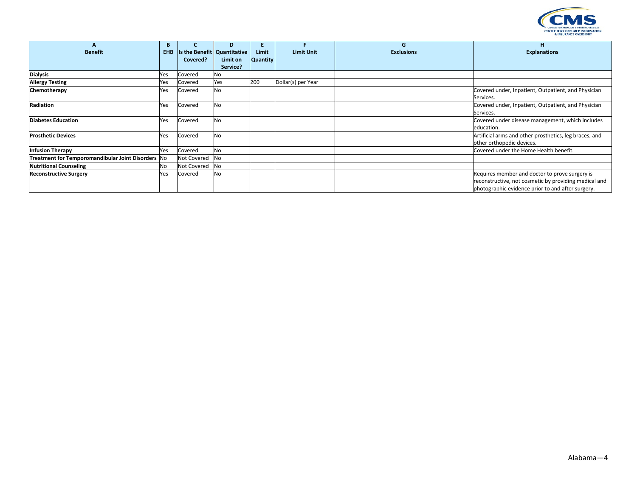

| А                                                  | B          | c              | D                           | E.              |                    | G                 | н                                                      |
|----------------------------------------------------|------------|----------------|-----------------------------|-----------------|--------------------|-------------------|--------------------------------------------------------|
| <b>Benefit</b>                                     | <b>EHB</b> |                | Is the Benefit Quantitative | Limit           | <b>Limit Unit</b>  | <b>Exclusions</b> | <b>Explanations</b>                                    |
|                                                    |            | Covered?       | Limit on                    | <b>Quantity</b> |                    |                   |                                                        |
|                                                    |            |                | Service?                    |                 |                    |                   |                                                        |
| <b>Dialysis</b>                                    | Yes        | Covered        | No                          |                 |                    |                   |                                                        |
| <b>Allergy Testing</b>                             | Yes        | Covered        | Yes                         | 200             | Dollar(s) per Year |                   |                                                        |
| Chemotherapy                                       | Yes        | Covered        | <b>No</b>                   |                 |                    |                   | Covered under, Inpatient, Outpatient, and Physician    |
|                                                    |            |                |                             |                 |                    |                   | Services.                                              |
| Radiation                                          | Yes        | Covered        | <b>No</b>                   |                 |                    |                   | Covered under, Inpatient, Outpatient, and Physician    |
|                                                    |            |                |                             |                 |                    |                   | Services.                                              |
| <b>Diabetes Education</b>                          | Yes        | Covered        | <b>No</b>                   |                 |                    |                   | Covered under disease management, which includes       |
|                                                    |            |                |                             |                 |                    |                   | education.                                             |
| <b>Prosthetic Devices</b>                          | Yes        | Covered        | <b>No</b>                   |                 |                    |                   | Artificial arms and other prosthetics, leg braces, and |
|                                                    |            |                |                             |                 |                    |                   | other orthopedic devices.                              |
| <b>Infusion Therapy</b>                            | Yes        | Covered        | <b>No</b>                   |                 |                    |                   | Covered under the Home Health benefit.                 |
| Treatment for Temporomandibular Joint Disorders No |            | Not Covered No |                             |                 |                    |                   |                                                        |
| <b>Nutritional Counseling</b>                      | No         | Not Covered No |                             |                 |                    |                   |                                                        |
| <b>Reconstructive Surgery</b>                      | Yes        | Covered        | <b>No</b>                   |                 |                    |                   | Requires member and doctor to prove surgery is         |
|                                                    |            |                |                             |                 |                    |                   | reconstructive, not cosmetic by providing medical and  |
|                                                    |            |                |                             |                 |                    |                   | photographic evidence prior to and after surgery.      |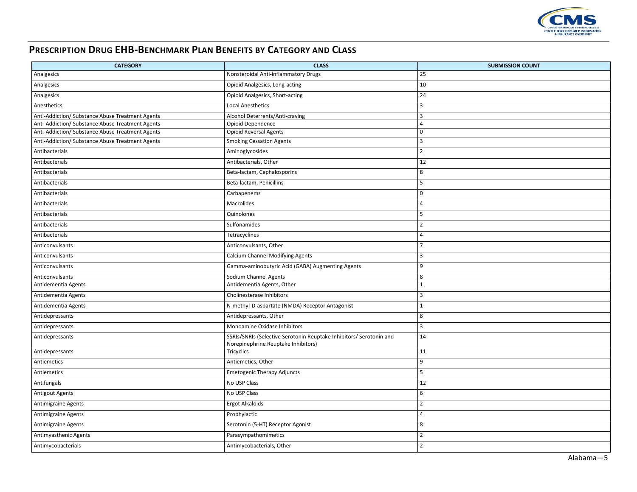

## **PRESCRIPTION DRUG EHB-BENCHMARK PLAN BENEFITS BY CATEGORY AND CLASS**

| <b>CATEGORY</b>                                  | <b>CLASS</b>                                                                                               | <b>SUBMISSION COUNT</b> |
|--------------------------------------------------|------------------------------------------------------------------------------------------------------------|-------------------------|
| Analgesics                                       | Nonsteroidal Anti-inflammatory Drugs                                                                       | 25                      |
| Analgesics                                       | Opioid Analgesics, Long-acting                                                                             | 10                      |
| Analgesics                                       | <b>Opioid Analgesics, Short-acting</b>                                                                     | 24                      |
| Anesthetics                                      | <b>Local Anesthetics</b>                                                                                   | $\overline{3}$          |
| Anti-Addiction/ Substance Abuse Treatment Agents | Alcohol Deterrents/Anti-craving                                                                            | $\overline{3}$          |
| Anti-Addiction/ Substance Abuse Treatment Agents | Opioid Dependence                                                                                          | $\overline{4}$          |
| Anti-Addiction/ Substance Abuse Treatment Agents | <b>Opioid Reversal Agents</b>                                                                              | $\mathbf 0$             |
| Anti-Addiction/ Substance Abuse Treatment Agents | <b>Smoking Cessation Agents</b>                                                                            | $\overline{3}$          |
| Antibacterials                                   | Aminoglycosides                                                                                            | $\overline{2}$          |
| Antibacterials                                   | Antibacterials, Other                                                                                      | 12                      |
| Antibacterials                                   | Beta-lactam, Cephalosporins                                                                                | 8                       |
| Antibacterials                                   | Beta-lactam, Penicillins                                                                                   | 5                       |
| Antibacterials                                   | Carbapenems                                                                                                | $\mathsf 0$             |
| Antibacterials                                   | Macrolides                                                                                                 | $\overline{4}$          |
| Antibacterials                                   | Quinolones                                                                                                 | 5                       |
| Antibacterials                                   | Sulfonamides                                                                                               | $\overline{2}$          |
| Antibacterials                                   | Tetracyclines                                                                                              | $\overline{4}$          |
| Anticonvulsants                                  | Anticonvulsants, Other                                                                                     | $\overline{7}$          |
| Anticonvulsants                                  | Calcium Channel Modifying Agents                                                                           | $\overline{3}$          |
| Anticonvulsants                                  | Gamma-aminobutyric Acid (GABA) Augmenting Agents                                                           | 9                       |
| Anticonvulsants                                  | Sodium Channel Agents                                                                                      | 8                       |
| Antidementia Agents                              | Antidementia Agents, Other                                                                                 | $\mathbf{1}$            |
| Antidementia Agents                              | Cholinesterase Inhibitors                                                                                  | $\overline{3}$          |
| Antidementia Agents                              | N-methyl-D-aspartate (NMDA) Receptor Antagonist                                                            | $\mathbf{1}$            |
| Antidepressants                                  | Antidepressants, Other                                                                                     | 8                       |
| Antidepressants                                  | Monoamine Oxidase Inhibitors                                                                               | $\overline{3}$          |
| Antidepressants                                  | SSRIs/SNRIs (Selective Serotonin Reuptake Inhibitors/ Serotonin and<br>Norepinephrine Reuptake Inhibitors) | 14                      |
| Antidepressants                                  | Tricyclics                                                                                                 | 11                      |
| Antiemetics                                      | Antiemetics, Other                                                                                         | 9                       |
| Antiemetics                                      | <b>Emetogenic Therapy Adjuncts</b>                                                                         | 5                       |
| Antifungals                                      | No USP Class                                                                                               | 12                      |
| <b>Antigout Agents</b>                           | No USP Class                                                                                               | 6                       |
| Antimigraine Agents                              | <b>Ergot Alkaloids</b>                                                                                     | $\overline{2}$          |
| Antimigraine Agents                              | Prophylactic                                                                                               | $\overline{4}$          |
| Antimigraine Agents                              | Serotonin (5-HT) Receptor Agonist                                                                          | 8                       |
| Antimyasthenic Agents                            | Parasympathomimetics                                                                                       | $\overline{2}$          |
| Antimycobacterials                               | Antimycobacterials, Other                                                                                  | $\overline{2}$          |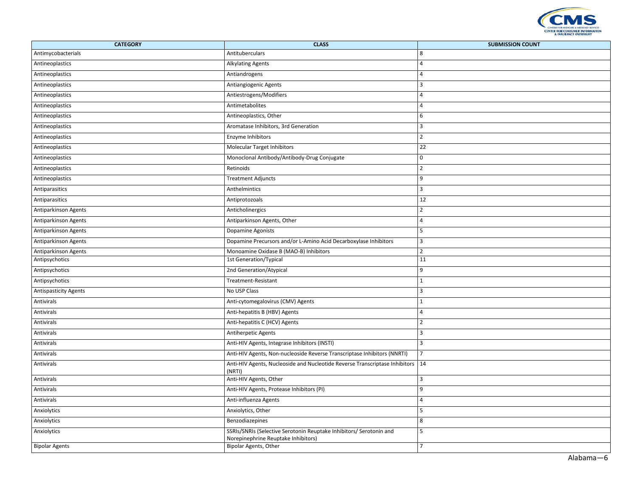

| <b>CATEGORY</b>              | <b>CLASS</b>                                                                                               | <b>SUBMISSION COUNT</b> |
|------------------------------|------------------------------------------------------------------------------------------------------------|-------------------------|
| Antimycobacterials           | Antituberculars                                                                                            | 8                       |
| Antineoplastics              | <b>Alkylating Agents</b>                                                                                   | $\overline{4}$          |
| Antineoplastics              | Antiandrogens                                                                                              | $\overline{4}$          |
| Antineoplastics              | Antiangiogenic Agents                                                                                      | $\overline{3}$          |
| Antineoplastics              | Antiestrogens/Modifiers                                                                                    | $\overline{4}$          |
| Antineoplastics              | Antimetabolites                                                                                            | $\overline{4}$          |
| Antineoplastics              | Antineoplastics, Other                                                                                     | 6                       |
| Antineoplastics              | Aromatase Inhibitors, 3rd Generation                                                                       | $\overline{3}$          |
| Antineoplastics              | Enzyme Inhibitors                                                                                          | $\overline{2}$          |
| Antineoplastics              | Molecular Target Inhibitors                                                                                | 22                      |
| Antineoplastics              | Monoclonal Antibody/Antibody-Drug Conjugate                                                                | $\mathbf 0$             |
| Antineoplastics              | Retinoids                                                                                                  | $\overline{2}$          |
| Antineoplastics              | <b>Treatment Adjuncts</b>                                                                                  | $\overline{9}$          |
| Antiparasitics               | Anthelmintics                                                                                              | $\overline{3}$          |
| Antiparasitics               | Antiprotozoals                                                                                             | 12                      |
| Antiparkinson Agents         | Anticholinergics                                                                                           | $\overline{2}$          |
| Antiparkinson Agents         | Antiparkinson Agents, Other                                                                                | $\overline{4}$          |
| Antiparkinson Agents         | Dopamine Agonists                                                                                          | 5                       |
| Antiparkinson Agents         | Dopamine Precursors and/or L-Amino Acid Decarboxylase Inhibitors                                           | $\overline{3}$          |
| Antiparkinson Agents         | Monoamine Oxidase B (MAO-B) Inhibitors                                                                     | $\overline{2}$          |
| Antipsychotics               | 1st Generation/Typical                                                                                     | 11                      |
| Antipsychotics               | 2nd Generation/Atypical                                                                                    | 9                       |
| Antipsychotics               | Treatment-Resistant                                                                                        | $\overline{1}$          |
| <b>Antispasticity Agents</b> | No USP Class                                                                                               | $\overline{\mathbf{3}}$ |
| Antivirals                   | Anti-cytomegalovirus (CMV) Agents                                                                          | $\mathbf{1}$            |
| Antivirals                   | Anti-hepatitis B (HBV) Agents                                                                              | $\overline{4}$          |
| Antivirals                   | Anti-hepatitis C (HCV) Agents                                                                              | $\overline{2}$          |
| Antivirals                   | <b>Antiherpetic Agents</b>                                                                                 | $\overline{3}$          |
| Antivirals                   | Anti-HIV Agents, Integrase Inhibitors (INSTI)                                                              | $\overline{3}$          |
| Antivirals                   | Anti-HIV Agents, Non-nucleoside Reverse Transcriptase Inhibitors (NNRTI)                                   | $\overline{7}$          |
| Antivirals                   | Anti-HIV Agents, Nucleoside and Nucleotide Reverse Transcriptase Inhibitors   14<br>(NRTI)                 |                         |
| Antivirals                   | Anti-HIV Agents, Other                                                                                     | $\overline{3}$          |
| Antivirals                   | Anti-HIV Agents, Protease Inhibitors (PI)                                                                  | 9                       |
| Antivirals                   | Anti-influenza Agents                                                                                      | $\overline{4}$          |
| Anxiolytics                  | Anxiolytics, Other                                                                                         | 5                       |
| Anxiolytics                  | Benzodiazepines                                                                                            | 8                       |
| Anxiolytics                  | SSRIs/SNRIs (Selective Serotonin Reuptake Inhibitors/ Serotonin and<br>Norepinephrine Reuptake Inhibitors) | 5                       |
| <b>Bipolar Agents</b>        | Bipolar Agents, Other                                                                                      | $\overline{7}$          |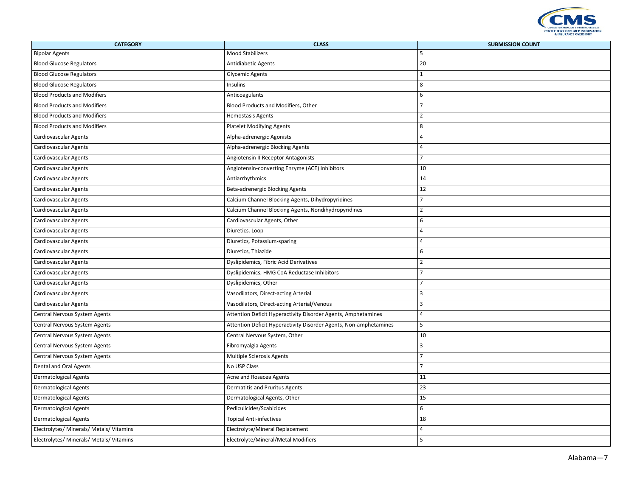

| <b>CATEGORY</b>                          | <b>CLASS</b>                                                      | <b>SUBMISSION COUNT</b> |
|------------------------------------------|-------------------------------------------------------------------|-------------------------|
| <b>Bipolar Agents</b>                    | <b>Mood Stabilizers</b>                                           | 5                       |
| <b>Blood Glucose Regulators</b>          | Antidiabetic Agents                                               | 20                      |
| <b>Blood Glucose Regulators</b>          | <b>Glycemic Agents</b>                                            | $\mathbf{1}$            |
| <b>Blood Glucose Regulators</b>          | Insulins                                                          | 8                       |
| <b>Blood Products and Modifiers</b>      | Anticoagulants                                                    | 6                       |
| <b>Blood Products and Modifiers</b>      | Blood Products and Modifiers, Other                               | $\overline{7}$          |
| <b>Blood Products and Modifiers</b>      | <b>Hemostasis Agents</b>                                          | $\overline{2}$          |
| <b>Blood Products and Modifiers</b>      | <b>Platelet Modifying Agents</b>                                  | 8                       |
| Cardiovascular Agents                    | Alpha-adrenergic Agonists                                         | $\overline{4}$          |
| <b>Cardiovascular Agents</b>             | Alpha-adrenergic Blocking Agents                                  | $\overline{a}$          |
| <b>Cardiovascular Agents</b>             | Angiotensin II Receptor Antagonists                               | $\overline{7}$          |
| Cardiovascular Agents                    | Angiotensin-converting Enzyme (ACE) Inhibitors                    | 10                      |
| Cardiovascular Agents                    | Antiarrhythmics                                                   | 14                      |
| Cardiovascular Agents                    | Beta-adrenergic Blocking Agents                                   | 12                      |
| Cardiovascular Agents                    | Calcium Channel Blocking Agents, Dihydropyridines                 | $\overline{7}$          |
| Cardiovascular Agents                    | Calcium Channel Blocking Agents, Nondihydropyridines              | $\overline{2}$          |
| Cardiovascular Agents                    | Cardiovascular Agents, Other                                      | 6                       |
| Cardiovascular Agents                    | Diuretics, Loop                                                   | $\overline{4}$          |
| Cardiovascular Agents                    | Diuretics, Potassium-sparing                                      | $\overline{4}$          |
| Cardiovascular Agents                    | Diuretics, Thiazide                                               | 6                       |
| Cardiovascular Agents                    | Dyslipidemics, Fibric Acid Derivatives                            | $\overline{2}$          |
| Cardiovascular Agents                    | Dyslipidemics, HMG CoA Reductase Inhibitors                       | $\overline{7}$          |
| Cardiovascular Agents                    | Dyslipidemics, Other                                              | $\overline{7}$          |
| Cardiovascular Agents                    | Vasodilators, Direct-acting Arterial                              | 3                       |
| Cardiovascular Agents                    | Vasodilators, Direct-acting Arterial/Venous                       | 3                       |
| Central Nervous System Agents            | Attention Deficit Hyperactivity Disorder Agents, Amphetamines     | $\overline{4}$          |
| Central Nervous System Agents            | Attention Deficit Hyperactivity Disorder Agents, Non-amphetamines | 5                       |
| Central Nervous System Agents            | Central Nervous System, Other                                     | 10                      |
| Central Nervous System Agents            | Fibromyalgia Agents                                               | $\overline{3}$          |
| Central Nervous System Agents            | Multiple Sclerosis Agents                                         | $\overline{7}$          |
| Dental and Oral Agents                   | No USP Class                                                      | $\overline{7}$          |
| <b>Dermatological Agents</b>             | Acne and Rosacea Agents                                           | 11                      |
| <b>Dermatological Agents</b>             | Dermatitis and Pruritus Agents                                    | 23                      |
| <b>Dermatological Agents</b>             | Dermatological Agents, Other                                      | 15                      |
| <b>Dermatological Agents</b>             | Pediculicides/Scabicides                                          | 6                       |
| <b>Dermatological Agents</b>             | <b>Topical Anti-infectives</b>                                    | 18                      |
| Electrolytes/ Minerals/ Metals/ Vitamins | Electrolyte/Mineral Replacement                                   | 4                       |
| Electrolytes/ Minerals/ Metals/ Vitamins | Electrolyte/Mineral/Metal Modifiers                               | 5                       |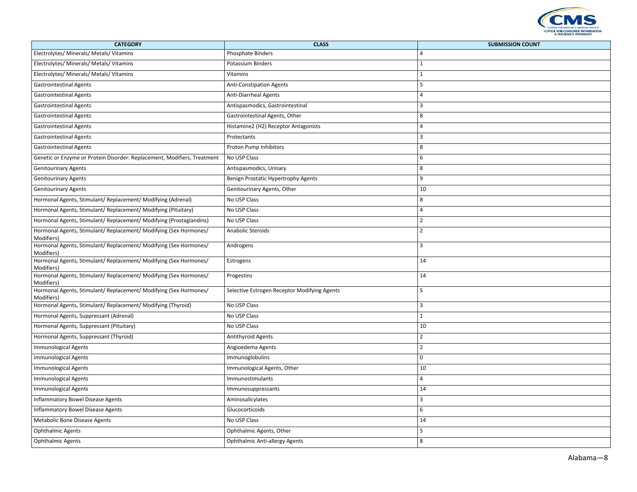

| <b>CATEGORY</b>                                                                 | <b>CLASS</b>                                 | <b>SUBMISSION COUNT</b> |
|---------------------------------------------------------------------------------|----------------------------------------------|-------------------------|
| Electrolytes/ Minerals/ Metals/ Vitamins                                        | <b>Phosphate Binders</b>                     | $\overline{4}$          |
| Electrolytes/ Minerals/ Metals/ Vitamins                                        | Potassium Binders                            | $\vert$ 1               |
| Electrolytes/ Minerals/ Metals/ Vitamins                                        | Vitamins                                     | $\mathbf{1}$            |
| <b>Gastrointestinal Agents</b>                                                  | <b>Anti-Constipation Agents</b>              | 5                       |
| <b>Gastrointestinal Agents</b>                                                  | Anti-Diarrheal Agents                        | $\overline{4}$          |
| <b>Gastrointestinal Agents</b>                                                  | Antispasmodics, Gastrointestinal             | $\overline{3}$          |
| <b>Gastrointestinal Agents</b>                                                  | Gastrointestinal Agents, Other               | 8                       |
| <b>Gastrointestinal Agents</b>                                                  | Histamine2 (H2) Receptor Antagonists         | $\overline{4}$          |
| <b>Gastrointestinal Agents</b>                                                  | Protectants                                  | $\overline{3}$          |
| <b>Gastrointestinal Agents</b>                                                  | Proton Pump Inhibitors                       | 8                       |
| Genetic or Enzyme or Protein Disorder: Replacement, Modifiers, Treatment        | No USP Class                                 | 6                       |
| <b>Genitourinary Agents</b>                                                     | Antispasmodics, Urinary                      | 8                       |
| <b>Genitourinary Agents</b>                                                     | Benign Prostatic Hypertrophy Agents          | 9                       |
| <b>Genitourinary Agents</b>                                                     | Genitourinary Agents, Other                  | 10                      |
| Hormonal Agents, Stimulant/ Replacement/ Modifying (Adrenal)                    | No USP Class                                 | 8                       |
| Hormonal Agents, Stimulant/ Replacement/ Modifying (Pituitary)                  | No USP Class                                 | $\overline{4}$          |
| Hormonal Agents, Stimulant/ Replacement/ Modifying (Prostaglandins)             | No USP Class                                 | $\overline{2}$          |
| Hormonal Agents, Stimulant/ Replacement/ Modifying (Sex Hormones/<br>Modifiers) | Anabolic Steroids                            | $\overline{2}$          |
| Hormonal Agents, Stimulant/ Replacement/ Modifying (Sex Hormones/<br>Modifiers) | Androgens                                    | $\overline{3}$          |
| Hormonal Agents, Stimulant/ Replacement/ Modifying (Sex Hormones/<br>Modifiers) | Estrogens                                    | 14                      |
| Hormonal Agents, Stimulant/ Replacement/ Modifying (Sex Hormones/<br>Modifiers) | Progestins                                   | 14                      |
| Hormonal Agents, Stimulant/ Replacement/ Modifying (Sex Hormones/<br>Modifiers) | Selective Estrogen Receptor Modifying Agents | 5                       |
| Hormonal Agents, Stimulant/ Replacement/ Modifying (Thyroid)                    | No USP Class                                 | $\overline{3}$          |
| Hormonal Agents, Suppressant (Adrenal)                                          | No USP Class                                 | $\overline{1}$          |
| Hormonal Agents, Suppressant (Pituitary)                                        | No USP Class                                 | 10                      |
| Hormonal Agents, Suppressant (Thyroid)                                          | Antithyroid Agents                           | $\overline{2}$          |
| <b>Immunological Agents</b>                                                     | Angioedema Agents                            | $\overline{2}$          |
| <b>Immunological Agents</b>                                                     | Immunoglobulins                              | $\mathbf 0$             |
| <b>Immunological Agents</b>                                                     | Immunological Agents, Other                  | 10                      |
| <b>Immunological Agents</b>                                                     | Immunostimulants                             | $\overline{4}$          |
| <b>Immunological Agents</b>                                                     | Immunosuppressants                           | 14                      |
| Inflammatory Bowel Disease Agents                                               | Aminosalicylates                             | $\overline{3}$          |
| Inflammatory Bowel Disease Agents                                               | Glucocorticoids                              | 6                       |
| Metabolic Bone Disease Agents                                                   | No USP Class                                 | 14                      |
| <b>Ophthalmic Agents</b>                                                        | Ophthalmic Agents, Other                     | 5                       |
| <b>Ophthalmic Agents</b>                                                        | Ophthalmic Anti-allergy Agents               | 8                       |